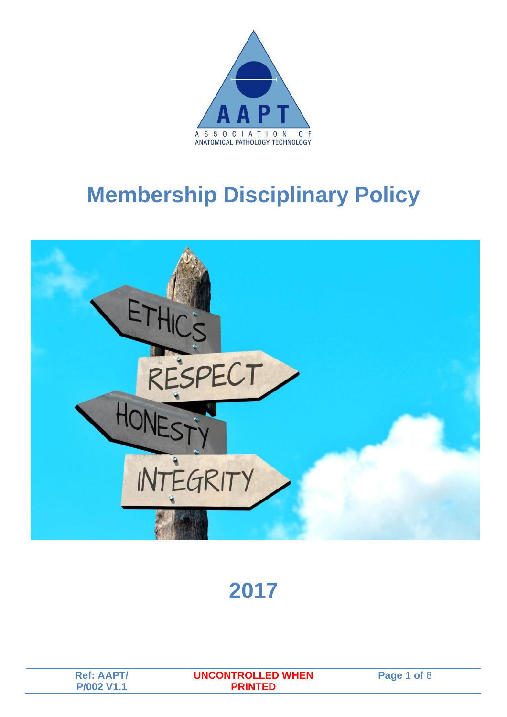

## **Membership Disciplinary Policy**



### **2017**

| <b>Ref: AAPT/</b> | <b>UNCONTROLLED WHEN</b> | <b>Pane</b> |
|-------------------|--------------------------|-------------|
|                   |                          |             |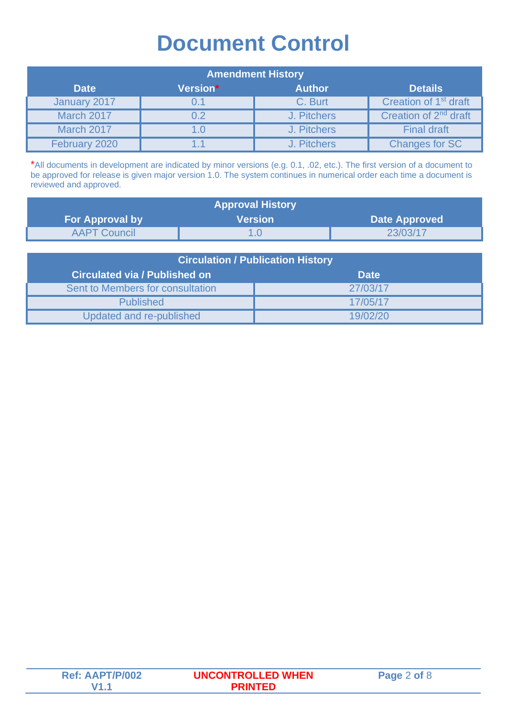### **Document Control**

| <b>Amendment History</b> |          |               |                                   |
|--------------------------|----------|---------------|-----------------------------------|
| <b>Date</b>              | Version* | <b>Author</b> | <b>Details</b>                    |
| January 2017             | 0.1      | C. Burt       | Creation of 1 <sup>st</sup> draft |
| <b>March 2017</b>        | 0.2      | J. Pitchers   | Creation of 2 <sup>nd</sup> draft |
| <b>March 2017</b>        | 1.0      | J. Pitchers   | <b>Final draft</b>                |
| February 2020            | 1.1      | J. Pitchers   | <b>Changes for SC</b>             |

\*All documents in development are indicated by minor versions (e.g. 0.1, .02, etc.). The first version of a document to be approved for release is given major version 1.0. The system continues in numerical order each time a document is reviewed and approved.

| <b>Approval History</b> |                |                      |  |
|-------------------------|----------------|----------------------|--|
| <b>For Approval by</b>  | <b>Version</b> | <b>Date Approved</b> |  |
| <b>AAPT Council</b>     |                | 23/03/17             |  |

| <b>Circulation / Publication History</b> |             |  |
|------------------------------------------|-------------|--|
| <b>Circulated via / Published on</b>     | <b>Date</b> |  |
| Sent to Members for consultation         | 27/03/17    |  |
| <b>Published</b>                         | 17/05/17    |  |
| Updated and re-published                 | 19/02/20    |  |

| <b>Ref: AAPT/P/002</b> | <b>UNCONTROLLED WHEN</b> | Page 2 of 8 |
|------------------------|--------------------------|-------------|
|                        |                          |             |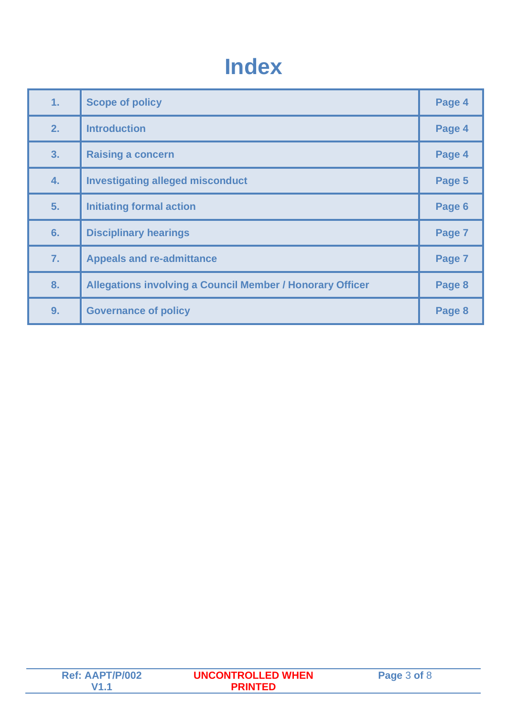## **Index**

| 1. | <b>Scope of policy</b>                                           | Page 4 |
|----|------------------------------------------------------------------|--------|
| 2. | <b>Introduction</b>                                              | Page 4 |
| 3. | <b>Raising a concern</b>                                         | Page 4 |
| 4. | <b>Investigating alleged misconduct</b>                          | Page 5 |
| 5. | <b>Initiating formal action</b>                                  | Page 6 |
| 6. | <b>Disciplinary hearings</b>                                     | Page 7 |
| 7. | <b>Appeals and re-admittance</b>                                 | Page 7 |
| 8. | <b>Allegations involving a Council Member / Honorary Officer</b> | Page 8 |
| 9. | <b>Governance of policy</b>                                      | Page 8 |

| <b>Ref: AAPT/P/002</b> | <b>UNCONTROLLED WHEN</b> | Page 3 of 8 |
|------------------------|--------------------------|-------------|
|                        | PRINTED.                 |             |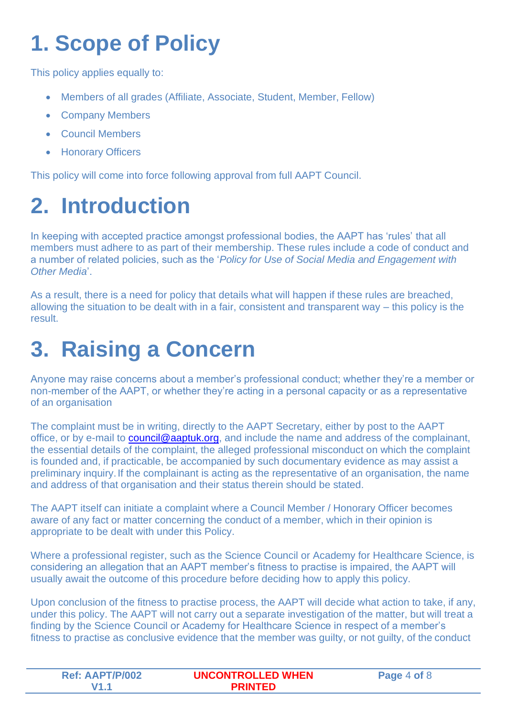# **1. Scope of Policy**

This policy applies equally to:

- Members of all grades (Affiliate, Associate, Student, Member, Fellow)
- Company Members
- Council Members
- Honorary Officers

This policy will come into force following approval from full AAPT Council.

# **2. Introduction**

In keeping with accepted practice amongst professional bodies, the AAPT has 'rules' that all members must adhere to as part of their membership. These rules include a code of conduct and a number of related policies, such as the '*Policy for Use of Social Media and Engagement with Other Media*'.

As a result, there is a need for policy that details what will happen if these rules are breached, allowing the situation to be dealt with in a fair, consistent and transparent way – this policy is the result.

## **3. Raising a Concern**

Anyone may raise concerns about a member's professional conduct; whether they're a member or non-member of the AAPT, or whether they're acting in a personal capacity or as a representative of an organisation

The complaint must be in writing, directly to the AAPT Secretary, either by post to the AAPT office, or by e-mail to [council@aaptuk.org,](mailto:council@aaptuk.org) and include the name and address of the complainant, the essential details of the complaint, the alleged professional misconduct on which the complaint is founded and, if practicable, be accompanied by such documentary evidence as may assist a preliminary inquiry.If the complainant is acting as the representative of an organisation, the name and address of that organisation and their status therein should be stated.

The AAPT itself can initiate a complaint where a Council Member / Honorary Officer becomes aware of any fact or matter concerning the conduct of a member, which in their opinion is appropriate to be dealt with under this Policy.

Where a professional register, such as the Science Council or Academy for Healthcare Science, is considering an allegation that an AAPT member's fitness to practise is impaired, the AAPT will usually await the outcome of this procedure before deciding how to apply this policy.

Upon conclusion of the fitness to practise process, the AAPT will decide what action to take, if any, under this policy. The AAPT will not carry out a separate investigation of the matter, but will treat a finding by the Science Council or Academy for Healthcare Science in respect of a member's fitness to practise as conclusive evidence that the member was guilty, or not guilty, of the conduct

| <b>Ref: AAPT/P/002</b> | <b>UNCONTROLLED WHEN</b> | Page 4 of 8 |
|------------------------|--------------------------|-------------|
|                        | <b>PRINTED</b>           |             |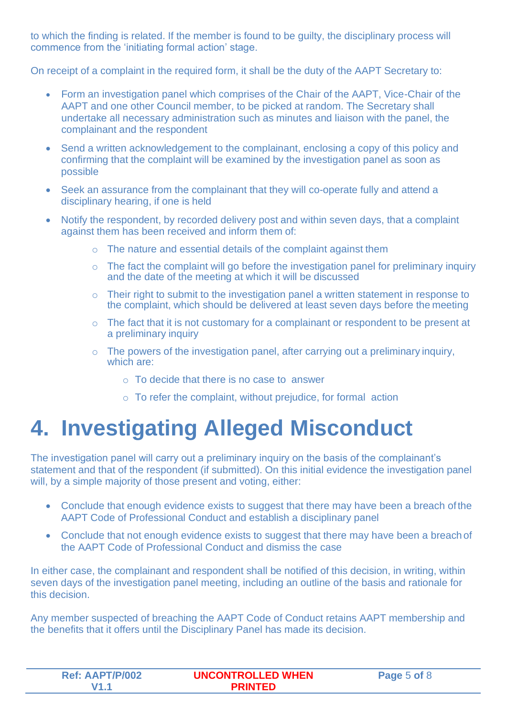to which the finding is related. If the member is found to be guilty, the disciplinary process will commence from the 'initiating formal action' stage.

On receipt of a complaint in the required form, it shall be the duty of the AAPT Secretary to:

- Form an investigation panel which comprises of the Chair of the AAPT, Vice-Chair of the AAPT and one other Council member, to be picked at random. The Secretary shall undertake all necessary administration such as minutes and liaison with the panel, the complainant and the respondent
- Send a written acknowledgement to the complainant, enclosing a copy of this policy and confirming that the complaint will be examined by the investigation panel as soon as possible
- Seek an assurance from the complainant that they will co-operate fully and attend a disciplinary hearing, if one is held
- Notify the respondent, by recorded delivery post and within seven days, that a complaint against them has been received and inform them of:
	- o The nature and essential details of the complaint against them
	- $\circ$  The fact the complaint will go before the investigation panel for preliminary inquiry and the date of the meeting at which it will be discussed
	- o Their right to submit to the investigation panel a written statement in response to the complaint, which should be delivered at least seven days before the meeting
	- o The fact that it is not customary for a complainant or respondent to be present at a preliminary inquiry
	- o The powers of the investigation panel, after carrying out a preliminary inquiry, which are:
		- o To decide that there is no case to answer
		- $\circ$  To refer the complaint, without prejudice, for formal action

### **4. Investigating Alleged Misconduct**

The investigation panel will carry out a preliminary inquiry on the basis of the complainant's statement and that of the respondent (if submitted). On this initial evidence the investigation panel will, by a simple majority of those present and voting, either:

- Conclude that enough evidence exists to suggest that there may have been a breach of the AAPT Code of Professional Conduct and establish a disciplinary panel
- Conclude that not enough evidence exists to suggest that there may have been a breach of the AAPT Code of Professional Conduct and dismiss the case

In either case, the complainant and respondent shall be notified of this decision, in writing, within seven days of the investigation panel meeting, including an outline of the basis and rationale for this decision.

Any member suspected of breaching the AAPT Code of Conduct retains AAPT membership and the benefits that it offers until the Disciplinary Panel has made its decision.

| <b>Ref: AAPT/P/002</b> | <b>UNCONTROLLED WHEN</b> | Page 5 of 8 |
|------------------------|--------------------------|-------------|
|                        | PRINTFD.                 |             |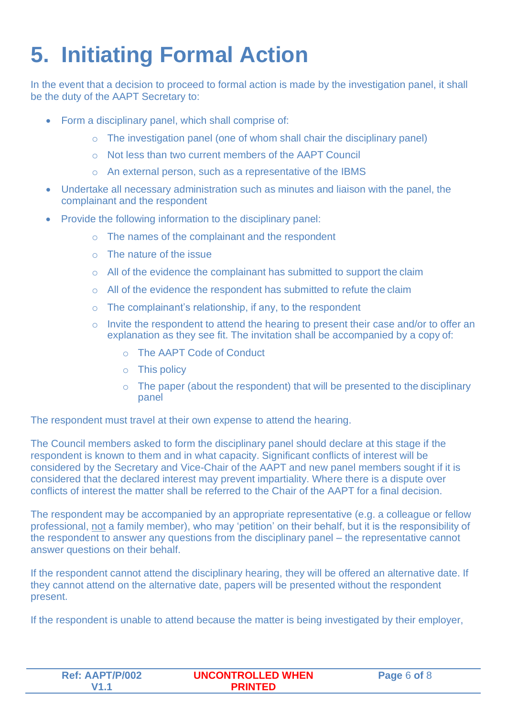# **5. Initiating Formal Action**

In the event that a decision to proceed to formal action is made by the investigation panel, it shall be the duty of the AAPT Secretary to:

- Form a disciplinary panel, which shall comprise of:
	- o The investigation panel (one of whom shall chair the disciplinary panel)
	- o Not less than two current members of the AAPT Council
	- o An external person, such as a representative of the IBMS
- Undertake all necessary administration such as minutes and liaison with the panel, the complainant and the respondent
- Provide the following information to the disciplinary panel:
	- o The names of the complainant and the respondent
	- o The nature of the issue
	- $\circ$  All of the evidence the complainant has submitted to support the claim
	- $\circ$  All of the evidence the respondent has submitted to refute the claim
	- o The complainant's relationship, if any, to the respondent
	- o Invite the respondent to attend the hearing to present their case and/or to offer an explanation as they see fit. The invitation shall be accompanied by a copy of:
		- o The AAPT Code of Conduct
		- o This policy
		- $\circ$  The paper (about the respondent) that will be presented to the disciplinary panel

The respondent must travel at their own expense to attend the hearing.

The Council members asked to form the disciplinary panel should declare at this stage if the respondent is known to them and in what capacity. Significant conflicts of interest will be considered by the Secretary and Vice-Chair of the AAPT and new panel members sought if it is considered that the declared interest may prevent impartiality. Where there is a dispute over conflicts of interest the matter shall be referred to the Chair of the AAPT for a final decision.

The respondent may be accompanied by an appropriate representative (e.g. a colleague or fellow professional, not a family member), who may 'petition' on their behalf, but it is the responsibility of the respondent to answer any questions from the disciplinary panel – the representative cannot answer questions on their behalf.

If the respondent cannot attend the disciplinary hearing, they will be offered an alternative date. If they cannot attend on the alternative date, papers will be presented without the respondent present.

If the respondent is unable to attend because the matter is being investigated by their employer,

| <b>Ref: AAPT/P/002</b> | <b>UNCONTROLLED WHEN</b> | Page 6 of 8 |
|------------------------|--------------------------|-------------|
|                        | <b>PRINTED</b>           |             |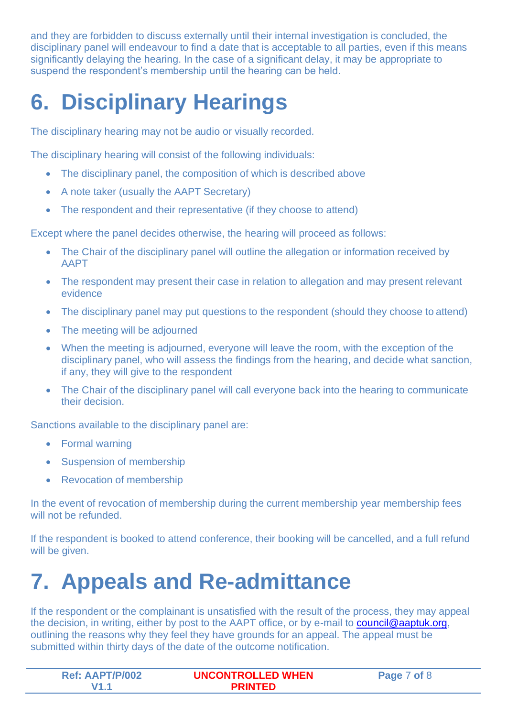and they are forbidden to discuss externally until their internal investigation is concluded, the disciplinary panel will endeavour to find a date that is acceptable to all parties, even if this means significantly delaying the hearing. In the case of a significant delay, it may be appropriate to suspend the respondent's membership until the hearing can be held.

# **6. Disciplinary Hearings**

The disciplinary hearing may not be audio or visually recorded.

The disciplinary hearing will consist of the following individuals:

- The disciplinary panel, the composition of which is described above
- A note taker (usually the AAPT Secretary)
- The respondent and their representative (if they choose to attend)

Except where the panel decides otherwise, the hearing will proceed as follows:

- The Chair of the disciplinary panel will outline the allegation or information received by AAPT
- The respondent may present their case in relation to allegation and may present relevant evidence
- The disciplinary panel may put questions to the respondent (should they choose to attend)
- The meeting will be adjourned
- When the meeting is adjourned, everyone will leave the room, with the exception of the disciplinary panel, who will assess the findings from the hearing, and decide what sanction, if any, they will give to the respondent
- The Chair of the disciplinary panel will call everyone back into the hearing to communicate their decision.

Sanctions available to the disciplinary panel are:

- Formal warning
- Suspension of membership
- **Revocation of membership**

In the event of revocation of membership during the current membership year membership fees will not be refunded.

If the respondent is booked to attend conference, their booking will be cancelled, and a full refund will be given.

## **7. Appeals and Re-admittance**

If the respondent or the complainant is unsatisfied with the result of the process, they may appeal the decision, in writing, either by post to the AAPT office, or by e-mail to [council@aaptuk.org,](mailto:council@aaptuk.org) outlining the reasons why they feel they have grounds for an appeal. The appeal must be submitted within thirty days of the date of the outcome notification.

| <b>Ref: AAPT/P/002</b> | <b>UNCONTROLLED WHEN</b> | of 8<br><b>Page</b> . |
|------------------------|--------------------------|-----------------------|
|                        | PRINTED                  |                       |